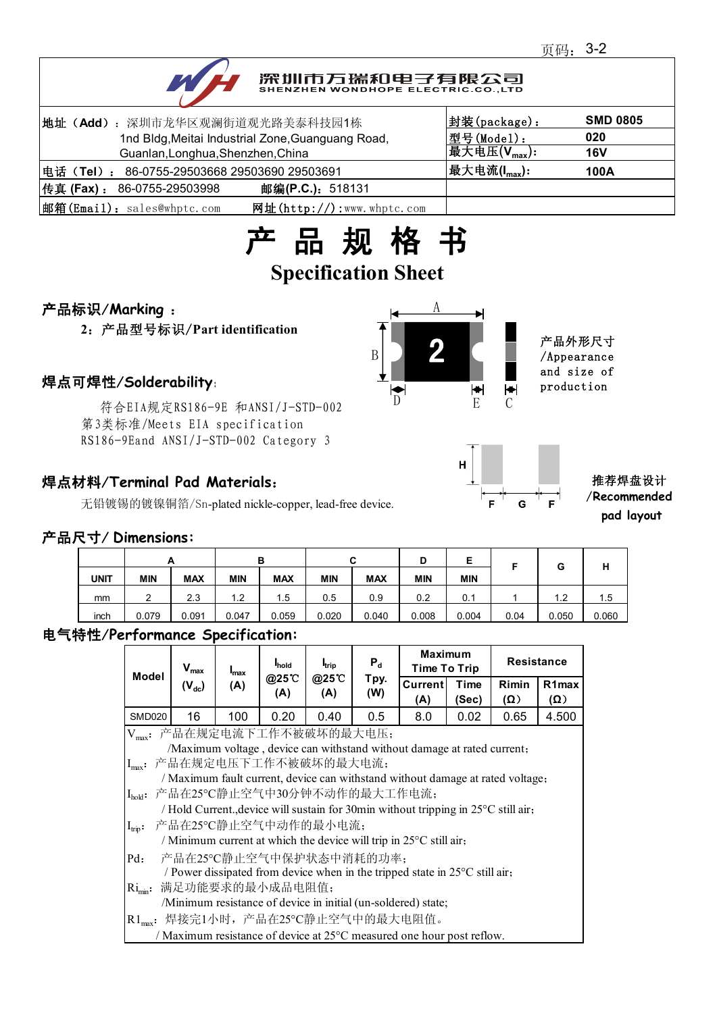

# 深圳市万瑞和电子有限公司

| 地址 (Add): 深圳市龙华区观澜街道观光路美泰科技园1栋                              | 封装(package):              | <b>SMD 0805</b> |
|-------------------------------------------------------------|---------------------------|-----------------|
| 1nd Bldg, Meitai Industrial Zone, Guanguang Road,           | 型号(Model):                | 020             |
| Guanlan, Longhua, Shenzhen, China                           | 最大电压 $(V_{\text{max}})$ : | <b>16V</b>      |
| 电话(Tel): 86-0755-29503668 29503690 29503691                 | 最大电流(I <sub>max</sub> ):  | 100A            |
| 传真 (Fax) : 86-0755-29503998<br>邮编(P.C.): 518131             |                           |                 |
| 邮箱(Email): sales@whptc.com<br>网址( $http://$ ):www.whptc.com |                           |                 |



## 产品标识/**Marking** :

**2**:产品型号标识/**Part identification**

=1±/ SolderdDIIITy:<br>符合EIA规定RS186-9E 和ANSI/J-STD-002 D 第3类标准/Meets EIA specification RS186-9Eand ANSI/J-STD-002 Category 3

## 焊点材料/**Terminal Pad Materials**:

无铅镀锡的镀镍铜箔/Sn-plated nickle-copper, lead-free device.





#### 推荐焊盘设计 /**Recommended pad layout**

#### 产品尺寸/ **Dimensions:**

|             |            | A          |            | в          |            | ◠<br>ີ     | D          | -<br>-     | Е    | G     | н     |
|-------------|------------|------------|------------|------------|------------|------------|------------|------------|------|-------|-------|
| <b>UNIT</b> | <b>MIN</b> | <b>MAX</b> | <b>MIN</b> | <b>MAX</b> | <b>MIN</b> | <b>MAX</b> | <b>MIN</b> | <b>MIN</b> |      |       |       |
| mm          | ົ<br>_     | 2.3        | $\cdot$ .2 | !.5        | 0.5        | 0.9        | 0.2        | 0.1        |      | 1.2   | 1.5   |
| inch        | 0.079      | 0.091      | 0.047      | 0.059      | 0.020      | 0.040      | 0.008      | 0.004      | 0.04 | 0.050 | 0.060 |

#### 电气特性/**Performance Specification:**

| Model                                                                          | $V_{\text{max}}$<br>$(V_{dc})$                                                     | $max$ | <b>I</b> hold<br>@25°C<br>(A) | <b>I</b> <sub>trip</sub><br>@25°C<br>(A) | $P_{d}$<br>Tpy.<br>(W) | <b>Maximum</b><br><b>Time To Trip</b> |               | <b>Resistance</b>   |                           |  |
|--------------------------------------------------------------------------------|------------------------------------------------------------------------------------|-------|-------------------------------|------------------------------------------|------------------------|---------------------------------------|---------------|---------------------|---------------------------|--|
|                                                                                |                                                                                    | (A)   |                               |                                          |                        | <b>Current</b><br>(A)                 | Time<br>(Sec) | Rimin<br>$(\Omega)$ | R <sub>1</sub> max<br>(Ω) |  |
| <b>SMD020</b>                                                                  | 16                                                                                 | 100   | 0.20                          | 0.40                                     | 0.5                    | 8.0                                   | 0.02          | 0.65                | 4.500                     |  |
| Vmax: 产品在规定电流下工作不被破坏的最大电压;                                                     |                                                                                    |       |                               |                                          |                        |                                       |               |                     |                           |  |
| /Maximum voltage, device can withstand without damage at rated current;        |                                                                                    |       |                               |                                          |                        |                                       |               |                     |                           |  |
|                                                                                | Imax: 产品在规定电压下工作不被破坏的最大电流;                                                         |       |                               |                                          |                        |                                       |               |                     |                           |  |
| / Maximum fault current, device can withstand without damage at rated voltage; |                                                                                    |       |                               |                                          |                        |                                       |               |                     |                           |  |
|                                                                                | I <sub>hok</sub> : 产品在25℃静止空气中30分钟不动作的最大工作电流;                                      |       |                               |                                          |                        |                                       |               |                     |                           |  |
|                                                                                | / Hold Current., device will sustain for 30min without tripping in 25°C still air, |       |                               |                                          |                        |                                       |               |                     |                           |  |
| $I_{\text{trip}}$ :                                                            | 产品在25℃静止空气中动作的最小电流;                                                                |       |                               |                                          |                        |                                       |               |                     |                           |  |
|                                                                                | / Minimum current at which the device will trip in $25^{\circ}$ C still air,       |       |                               |                                          |                        |                                       |               |                     |                           |  |
| $Pd$ :                                                                         | 产品在25℃静止空气中保护状态中消耗的功率;                                                             |       |                               |                                          |                        |                                       |               |                     |                           |  |
|                                                                                | / Power dissipated from device when in the tripped state in 25°C still air,        |       |                               |                                          |                        |                                       |               |                     |                           |  |
| $\text{Ri}_{\text{min}}$ :                                                     | 满足功能要求的最小成品电阻值;                                                                    |       |                               |                                          |                        |                                       |               |                     |                           |  |
|                                                                                | /Minimum resistance of device in initial (un-soldered) state;                      |       |                               |                                          |                        |                                       |               |                     |                           |  |
|                                                                                | R1 <sub>max</sub> : 焊接完1小时, 产品在25℃静止空气中的最大电阻值。                                     |       |                               |                                          |                        |                                       |               |                     |                           |  |
|                                                                                | / Maximum resistance of device at 25°C measured one hour post reflow.              |       |                               |                                          |                        |                                       |               |                     |                           |  |